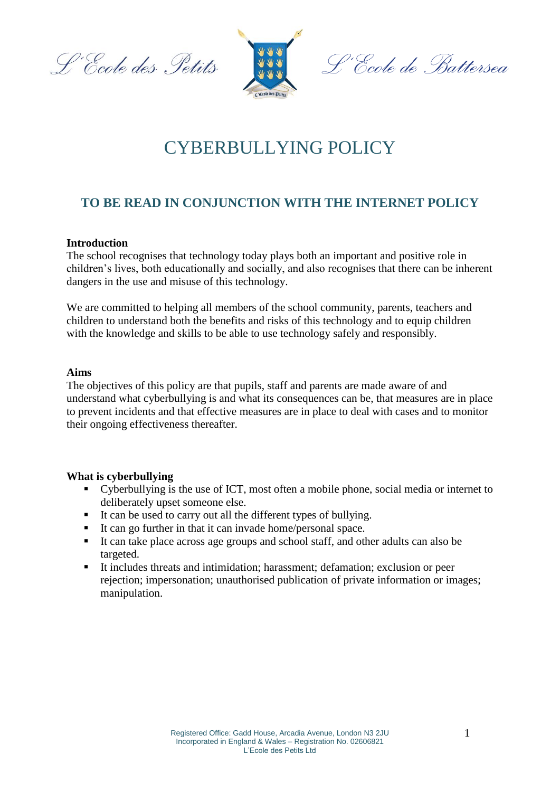L'Ecole des Petits



<sup>n.</sup>Ccole de Battersea

# CYBERBULLYING POLICY

# **TO BE READ IN CONJUNCTION WITH THE INTERNET POLICY**

#### **Introduction**

The school recognises that technology today plays both an important and positive role in children's lives, both educationally and socially, and also recognises that there can be inherent dangers in the use and misuse of this technology.

We are committed to helping all members of the school community, parents, teachers and children to understand both the benefits and risks of this technology and to equip children with the knowledge and skills to be able to use technology safely and responsibly.

#### **Aims**

The objectives of this policy are that pupils, staff and parents are made aware of and understand what cyberbullying is and what its consequences can be, that measures are in place to prevent incidents and that effective measures are in place to deal with cases and to monitor their ongoing effectiveness thereafter.

# **What is cyberbullying**

- Cyberbullying is the use of ICT, most often a mobile phone, social media or internet to deliberately upset someone else.
- It can be used to carry out all the different types of bullying.
- It can go further in that it can invade home/personal space.
- It can take place across age groups and school staff, and other adults can also be targeted.
- It includes threats and intimidation; harassment; defamation; exclusion or peer rejection; impersonation; unauthorised publication of private information or images; manipulation.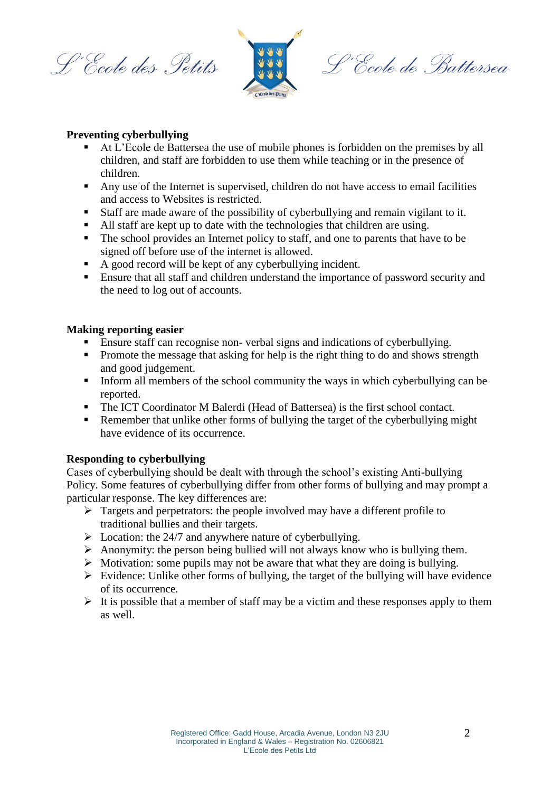L'Ecole des Petits



<sup>o.</sup>Ccole de Battersea

# **Preventing cyberbullying**

- At L'Ecole de Battersea the use of mobile phones is forbidden on the premises by all children, and staff are forbidden to use them while teaching or in the presence of children.
- Any use of the Internet is supervised, children do not have access to email facilities and access to Websites is restricted.
- Staff are made aware of the possibility of cyberbullying and remain vigilant to it.
- All staff are kept up to date with the technologies that children are using.
- The school provides an Internet policy to staff, and one to parents that have to be signed off before use of the internet is allowed.
- A good record will be kept of any cyberbullying incident.
- Ensure that all staff and children understand the importance of password security and the need to log out of accounts.

## **Making reporting easier**

- Ensure staff can recognise non- verbal signs and indications of cyberbullying.
- **Promote the message that asking for help is the right thing to do and shows strength** and good judgement.
- Inform all members of the school community the ways in which cyberbullying can be reported.
- The ICT Coordinator M Balerdi (Head of Battersea) is the first school contact.
- Remember that unlike other forms of bullying the target of the cyberbullying might have evidence of its occurrence.

#### **Responding to cyberbullying**

Cases of cyberbullying should be dealt with through the school's existing Anti-bullying Policy. Some features of cyberbullying differ from other forms of bullying and may prompt a particular response. The key differences are:

- $\triangleright$  Targets and perpetrators: the people involved may have a different profile to traditional bullies and their targets.
- $\triangleright$  Location: the 24/7 and anywhere nature of cyberbullying.
- $\triangleright$  Anonymity: the person being bullied will not always know who is bullying them.
- $\triangleright$  Motivation: some pupils may not be aware that what they are doing is bullying.
- $\triangleright$  Evidence: Unlike other forms of bullying, the target of the bullying will have evidence of its occurrence.
- $\triangleright$  It is possible that a member of staff may be a victim and these responses apply to them as well.